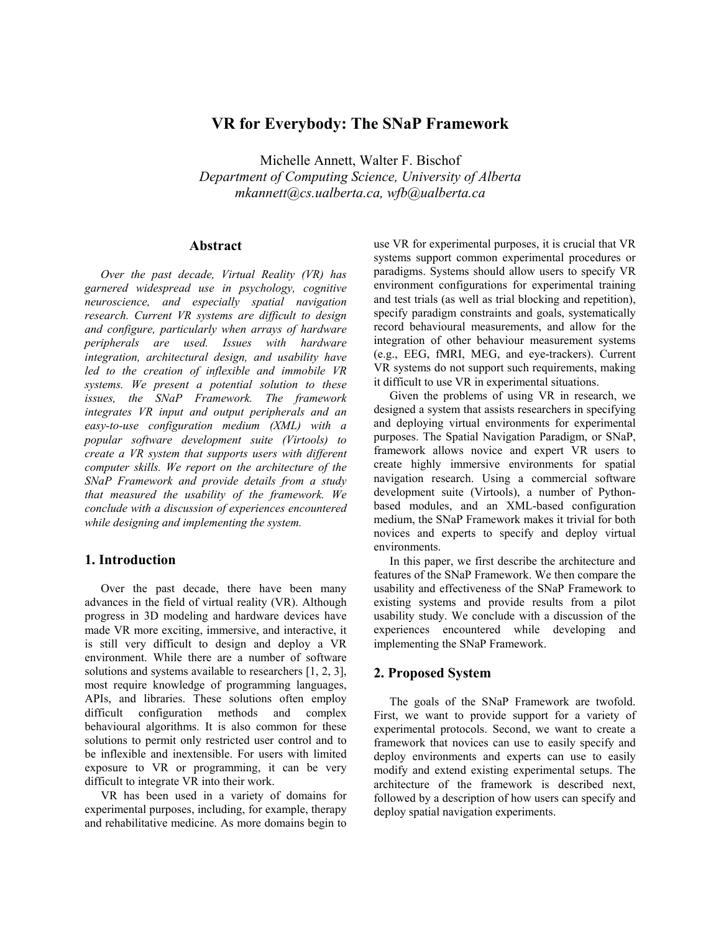# **VR for Everybody: The SNaP Framework**

Michelle Annett, Walter F. Bischof

*Department of Computing Science, University of Alberta mkannett@cs.ualberta.ca, wfb@ualberta.ca* 

## **Abstract**

*Over the past decade, Virtual Reality (VR) has garnered widespread use in psychology, cognitive neuroscience, and especially spatial navigation research. Current VR systems are difficult to design and configure, particularly when arrays of hardware peripherals are used. Issues with hardware integration, architectural design, and usability have led to the creation of inflexible and immobile VR systems. We present a potential solution to these issues, the SNaP Framework. The framework integrates VR input and output peripherals and an easy-to-use configuration medium (XML) with a popular software development suite (Virtools) to create a VR system that supports users with different computer skills. We report on the architecture of the SNaP Framework and provide details from a study that measured the usability of the framework. We conclude with a discussion of experiences encountered while designing and implementing the system.* 

#### **1. Introduction**

Over the past decade, there have been many advances in the field of virtual reality (VR). Although progress in 3D modeling and hardware devices have made VR more exciting, immersive, and interactive, it is still very difficult to design and deploy a VR environment. While there are a number of software solutions and systems available to researchers [1, 2, 3], most require knowledge of programming languages, APIs, and libraries. These solutions often employ difficult configuration methods and complex behavioural algorithms. It is also common for these solutions to permit only restricted user control and to be inflexible and inextensible. For users with limited exposure to VR or programming, it can be very difficult to integrate VR into their work.

VR has been used in a variety of domains for experimental purposes, including, for example, therapy and rehabilitative medicine. As more domains begin to use VR for experimental purposes, it is crucial that VR systems support common experimental procedures or paradigms. Systems should allow users to specify VR environment configurations for experimental training and test trials (as well as trial blocking and repetition), specify paradigm constraints and goals, systematically record behavioural measurements, and allow for the integration of other behaviour measurement systems (e.g., EEG, fMRI, MEG, and eye-trackers). Current VR systems do not support such requirements, making it difficult to use VR in experimental situations.

Given the problems of using VR in research, we designed a system that assists researchers in specifying and deploying virtual environments for experimental purposes. The Spatial Navigation Paradigm, or SNaP, framework allows novice and expert VR users to create highly immersive environments for spatial navigation research. Using a commercial software development suite (Virtools), a number of Pythonbased modules, and an XML-based configuration medium, the SNaP Framework makes it trivial for both novices and experts to specify and deploy virtual environments.

In this paper, we first describe the architecture and features of the SNaP Framework. We then compare the usability and effectiveness of the SNaP Framework to existing systems and provide results from a pilot usability study. We conclude with a discussion of the experiences encountered while developing and implementing the SNaP Framework.

### **2. Proposed System**

The goals of the SNaP Framework are twofold. First, we want to provide support for a variety of experimental protocols. Second, we want to create a framework that novices can use to easily specify and deploy environments and experts can use to easily modify and extend existing experimental setups. The architecture of the framework is described next, followed by a description of how users can specify and deploy spatial navigation experiments.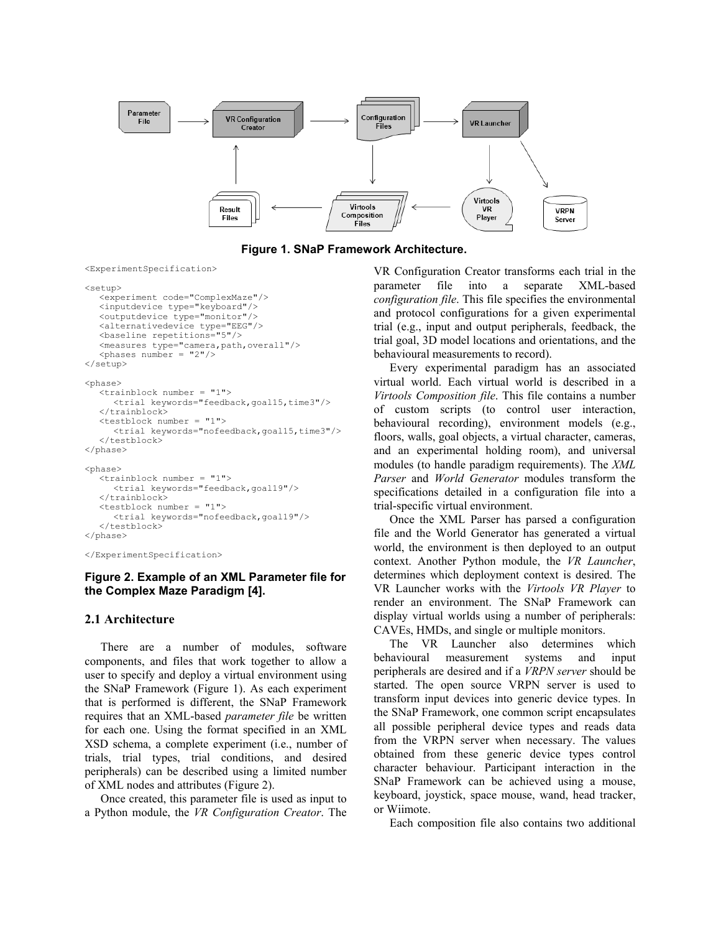

**Figure 1. SNaP Framework Architecture.** 

<ExperimentSpecification>

```
<setup>
```

```
 <experiment code="ComplexMaze"/> 
   <inputdevice type="keyboard"/> 
   <outputdevice type="monitor"/> 
   <alternativedevice type="EEG"/> 
   <baseline repetitions="5"/> 
   <measures type="camera,path,overall"/> 
   \langlephases number = "2"/>
</setup>
```
<phase>

```
 <trainblock number = "1"> 
       <trial keywords="feedback,goal15,time3"/> 
   </trainblock> 
   <testblock number = "1"> 
       <trial keywords="nofeedback,goal15,time3"/> 
   </testblock>
</phase> 
<phase> 
   <trainblock number = "1"> 
       <trial keywords="feedback,goal19"/> 
    </trainblock> 
   <testblock number = "1"> 
       <trial keywords="nofeedback,goal19"/> 
    </testblock> 
</phase>
```
</ExperimentSpecification>

#### **Figure 2. Example of an XML Parameter file for the Complex Maze Paradigm [4].**

#### **2.1 Architecture**

There are a number of modules, software components, and files that work together to allow a user to specify and deploy a virtual environment using the SNaP Framework (Figure 1). As each experiment that is performed is different, the SNaP Framework requires that an XML-based *parameter file* be written for each one. Using the format specified in an XML XSD schema, a complete experiment (i.e., number of trials, trial types, trial conditions, and desired peripherals) can be described using a limited number of XML nodes and attributes (Figure 2).

Once created, this parameter file is used as input to a Python module, the *VR Configuration Creator*. The VR Configuration Creator transforms each trial in the parameter file into a separate XML-based *configuration file*. This file specifies the environmental and protocol configurations for a given experimental trial (e.g., input and output peripherals, feedback, the trial goal, 3D model locations and orientations, and the behavioural measurements to record).

Every experimental paradigm has an associated virtual world. Each virtual world is described in a *Virtools Composition file*. This file contains a number of custom scripts (to control user interaction, behavioural recording), environment models (e.g., floors, walls, goal objects, a virtual character, cameras, and an experimental holding room), and universal modules (to handle paradigm requirements). The *XML Parser* and *World Generator* modules transform the specifications detailed in a configuration file into a trial-specific virtual environment.

Once the XML Parser has parsed a configuration file and the World Generator has generated a virtual world, the environment is then deployed to an output context. Another Python module, the *VR Launcher*, determines which deployment context is desired. The VR Launcher works with the *Virtools VR Player* to render an environment. The SNaP Framework can display virtual worlds using a number of peripherals: CAVEs, HMDs, and single or multiple monitors.

The VR Launcher also determines which behavioural measurement systems and input peripherals are desired and if a *VRPN server* should be started. The open source VRPN server is used to transform input devices into generic device types. In the SNaP Framework, one common script encapsulates all possible peripheral device types and reads data from the VRPN server when necessary. The values obtained from these generic device types control character behaviour. Participant interaction in the SNaP Framework can be achieved using a mouse, keyboard, joystick, space mouse, wand, head tracker, or Wiimote.

Each composition file also contains two additional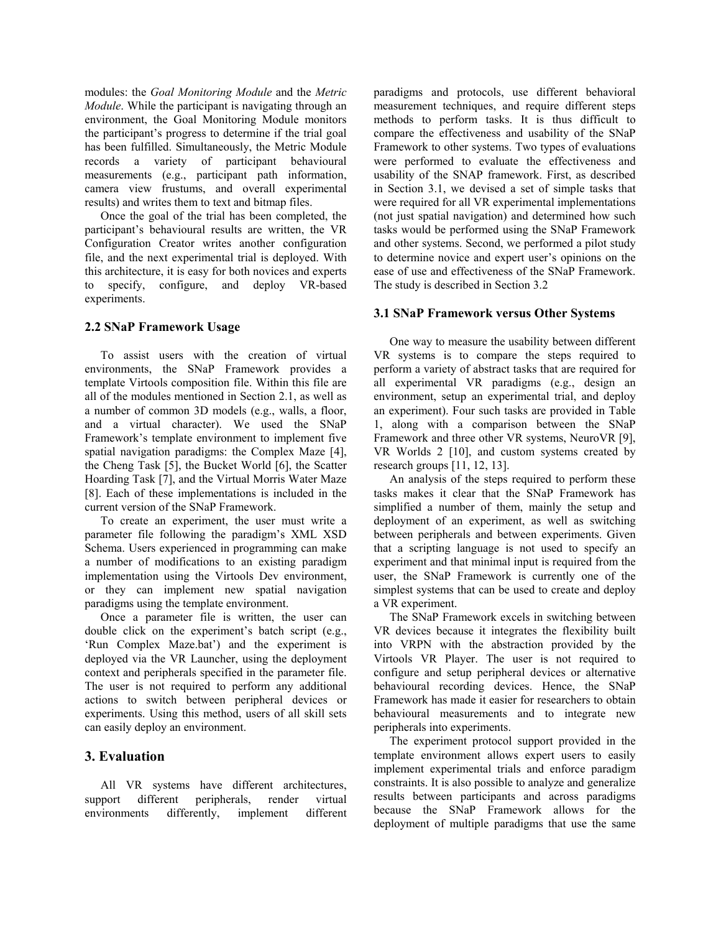modules: the *Goal Monitoring Module* and the *Metric Module*. While the participant is navigating through an environment, the Goal Monitoring Module monitors the participant's progress to determine if the trial goal has been fulfilled. Simultaneously, the Metric Module records a variety of participant behavioural measurements (e.g., participant path information, camera view frustums, and overall experimental results) and writes them to text and bitmap files.

Once the goal of the trial has been completed, the participant's behavioural results are written, the VR Configuration Creator writes another configuration file, and the next experimental trial is deployed. With this architecture, it is easy for both novices and experts to specify, configure, and deploy VR-based experiments.

### **2.2 SNaP Framework Usage**

To assist users with the creation of virtual environments, the SNaP Framework provides a template Virtools composition file. Within this file are all of the modules mentioned in Section 2.1, as well as a number of common 3D models (e.g., walls, a floor, and a virtual character). We used the SNaP Framework's template environment to implement five spatial navigation paradigms: the Complex Maze [4], the Cheng Task [5], the Bucket World [6], the Scatter Hoarding Task [7], and the Virtual Morris Water Maze [8]. Each of these implementations is included in the current version of the SNaP Framework.

To create an experiment, the user must write a parameter file following the paradigm's XML XSD Schema. Users experienced in programming can make a number of modifications to an existing paradigm implementation using the Virtools Dev environment, or they can implement new spatial navigation paradigms using the template environment.

Once a parameter file is written, the user can double click on the experiment's batch script (e.g., 'Run Complex Maze.bat') and the experiment is deployed via the VR Launcher, using the deployment context and peripherals specified in the parameter file. The user is not required to perform any additional actions to switch between peripheral devices or experiments. Using this method, users of all skill sets can easily deploy an environment.

# **3. Evaluation**

All VR systems have different architectures, support different peripherals, render virtual environments differently, implement different paradigms and protocols, use different behavioral measurement techniques, and require different steps methods to perform tasks. It is thus difficult to compare the effectiveness and usability of the SNaP Framework to other systems. Two types of evaluations were performed to evaluate the effectiveness and usability of the SNAP framework. First, as described in Section 3.1, we devised a set of simple tasks that were required for all VR experimental implementations (not just spatial navigation) and determined how such tasks would be performed using the SNaP Framework and other systems. Second, we performed a pilot study to determine novice and expert user's opinions on the ease of use and effectiveness of the SNaP Framework. The study is described in Section 3.2

### **3.1 SNaP Framework versus Other Systems**

One way to measure the usability between different VR systems is to compare the steps required to perform a variety of abstract tasks that are required for all experimental VR paradigms (e.g., design an environment, setup an experimental trial, and deploy an experiment). Four such tasks are provided in Table 1, along with a comparison between the SNaP Framework and three other VR systems, NeuroVR [9], VR Worlds 2 [10], and custom systems created by research groups [11, 12, 13].

An analysis of the steps required to perform these tasks makes it clear that the SNaP Framework has simplified a number of them, mainly the setup and deployment of an experiment, as well as switching between peripherals and between experiments. Given that a scripting language is not used to specify an experiment and that minimal input is required from the user, the SNaP Framework is currently one of the simplest systems that can be used to create and deploy a VR experiment.

The SNaP Framework excels in switching between VR devices because it integrates the flexibility built into VRPN with the abstraction provided by the Virtools VR Player. The user is not required to configure and setup peripheral devices or alternative behavioural recording devices. Hence, the SNaP Framework has made it easier for researchers to obtain behavioural measurements and to integrate new peripherals into experiments.

The experiment protocol support provided in the template environment allows expert users to easily implement experimental trials and enforce paradigm constraints. It is also possible to analyze and generalize results between participants and across paradigms because the SNaP Framework allows for the deployment of multiple paradigms that use the same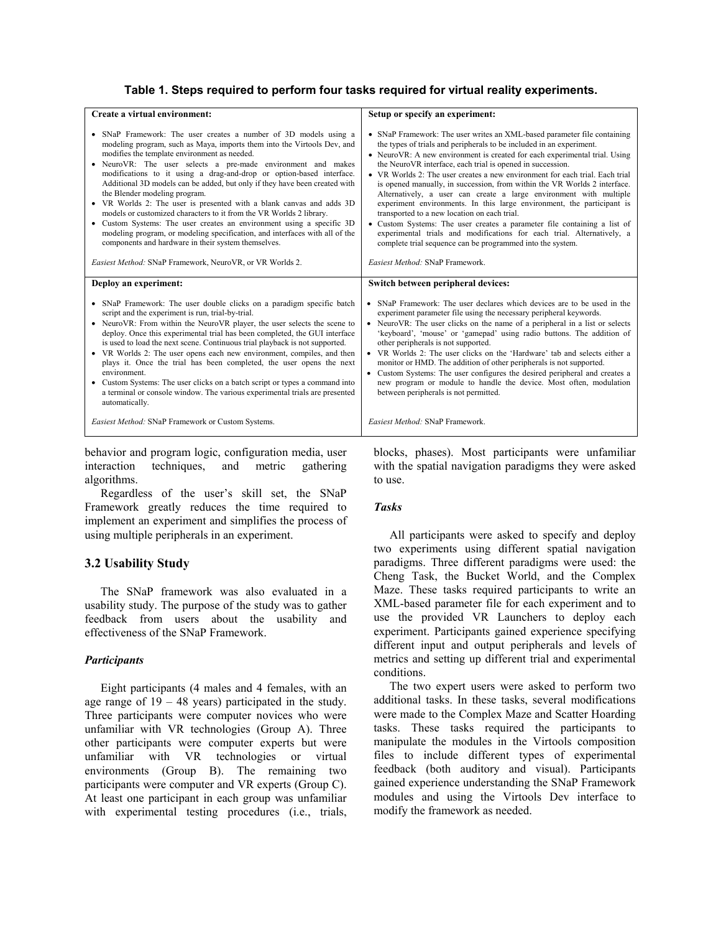### **Table 1. Steps required to perform four tasks required for virtual reality experiments.**

| Create a virtual environment:                                                                                                                                                                                                                                                                                                                                                                                                                                                                                                                                                                                                                                                                                                                                                                                                                                                | Setup or specify an experiment:                                                                                                                                                                                                                                                                                                                                                                                                                                                                                                                                                                                                                                                                                                                                                                                                                                                                                  |
|------------------------------------------------------------------------------------------------------------------------------------------------------------------------------------------------------------------------------------------------------------------------------------------------------------------------------------------------------------------------------------------------------------------------------------------------------------------------------------------------------------------------------------------------------------------------------------------------------------------------------------------------------------------------------------------------------------------------------------------------------------------------------------------------------------------------------------------------------------------------------|------------------------------------------------------------------------------------------------------------------------------------------------------------------------------------------------------------------------------------------------------------------------------------------------------------------------------------------------------------------------------------------------------------------------------------------------------------------------------------------------------------------------------------------------------------------------------------------------------------------------------------------------------------------------------------------------------------------------------------------------------------------------------------------------------------------------------------------------------------------------------------------------------------------|
| • SNaP Framework: The user creates a number of 3D models using a<br>modeling program, such as Maya, imports them into the Virtools Dev, and<br>modifies the template environment as needed.<br>• NeuroVR: The user selects a pre-made environment and makes<br>modifications to it using a drag-and-drop or option-based interface.<br>Additional 3D models can be added, but only if they have been created with<br>the Blender modeling program.<br>• VR Worlds 2: The user is presented with a blank canvas and adds 3D<br>models or customized characters to it from the VR Worlds 2 library.<br>• Custom Systems: The user creates an environment using a specific 3D<br>modeling program, or modeling specification, and interfaces with all of the<br>components and hardware in their system themselves.<br>Easiest Method: SNaP Framework, NeuroVR, or VR Worlds 2. | • SNaP Framework: The user writes an XML-based parameter file containing<br>the types of trials and peripherals to be included in an experiment.<br>• NeuroVR: A new environment is created for each experimental trial. Using<br>the NeuroVR interface, each trial is opened in succession.<br>• VR Worlds 2: The user creates a new environment for each trial. Each trial<br>is opened manually, in succession, from within the VR Worlds 2 interface.<br>Alternatively, a user can create a large environment with multiple<br>experiment environments. In this large environment, the participant is<br>transported to a new location on each trial.<br>• Custom Systems: The user creates a parameter file containing a list of<br>experimental trials and modifications for each trial. Alternatively, a<br>complete trial sequence can be programmed into the system.<br>Easiest Method: SNaP Framework. |
| Deploy an experiment:                                                                                                                                                                                                                                                                                                                                                                                                                                                                                                                                                                                                                                                                                                                                                                                                                                                        | Switch between peripheral devices:                                                                                                                                                                                                                                                                                                                                                                                                                                                                                                                                                                                                                                                                                                                                                                                                                                                                               |
| • SNaP Framework: The user double clicks on a paradigm specific batch<br>script and the experiment is run, trial-by-trial.<br>• NeuroVR: From within the NeuroVR player, the user selects the scene to<br>deploy. Once this experimental trial has been completed, the GUI interface<br>is used to load the next scene. Continuous trial playback is not supported.<br>• VR Worlds 2: The user opens each new environment, compiles, and then<br>plays it. Once the trial has been completed, the user opens the next<br>environment.<br>• Custom Systems: The user clicks on a batch script or types a command into<br>a terminal or console window. The various experimental trials are presented<br>automatically.                                                                                                                                                        | • SNaP Framework: The user declares which devices are to be used in the<br>experiment parameter file using the necessary peripheral keywords.<br>• NeuroVR: The user clicks on the name of a peripheral in a list or selects<br>'keyboard', 'mouse' or 'gamepad' using radio buttons. The addition of<br>other peripherals is not supported.<br>• VR Worlds 2: The user clicks on the 'Hardware' tab and selects either a<br>monitor or HMD. The addition of other peripherals is not supported.<br>• Custom Systems: The user configures the desired peripheral and creates a<br>new program or module to handle the device. Most often, modulation<br>between peripherals is not permitted.                                                                                                                                                                                                                    |
| Easiest Method: SNaP Framework or Custom Systems.                                                                                                                                                                                                                                                                                                                                                                                                                                                                                                                                                                                                                                                                                                                                                                                                                            | Easiest Method: SNaP Framework                                                                                                                                                                                                                                                                                                                                                                                                                                                                                                                                                                                                                                                                                                                                                                                                                                                                                   |

behavior and program logic, configuration media, user interaction techniques, and metric gathering algorithms.

Regardless of the user's skill set, the SNaP Framework greatly reduces the time required to implement an experiment and simplifies the process of using multiple peripherals in an experiment.

#### **3.2 Usability Study**

The SNaP framework was also evaluated in a usability study. The purpose of the study was to gather feedback from users about the usability and effectiveness of the SNaP Framework.

#### *Participants*

Eight participants (4 males and 4 females, with an age range of  $19 - 48$  years) participated in the study. Three participants were computer novices who were unfamiliar with VR technologies (Group A). Three other participants were computer experts but were unfamiliar with VR technologies or virtual environments (Group B). The remaining two participants were computer and VR experts (Group C). At least one participant in each group was unfamiliar with experimental testing procedures (i.e., trials, blocks, phases). Most participants were unfamiliar with the spatial navigation paradigms they were asked to use.

#### *Tasks*

All participants were asked to specify and deploy two experiments using different spatial navigation paradigms. Three different paradigms were used: the Cheng Task, the Bucket World, and the Complex Maze. These tasks required participants to write an XML-based parameter file for each experiment and to use the provided VR Launchers to deploy each experiment. Participants gained experience specifying different input and output peripherals and levels of metrics and setting up different trial and experimental conditions.

The two expert users were asked to perform two additional tasks. In these tasks, several modifications were made to the Complex Maze and Scatter Hoarding tasks. These tasks required the participants to manipulate the modules in the Virtools composition files to include different types of experimental feedback (both auditory and visual). Participants gained experience understanding the SNaP Framework modules and using the Virtools Dev interface to modify the framework as needed.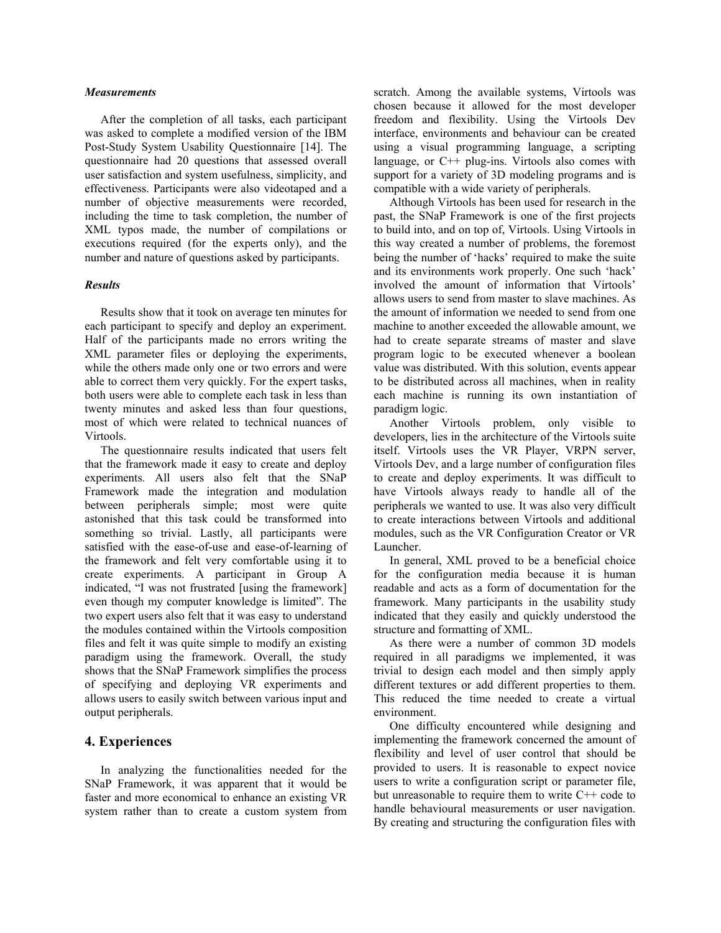#### *Measurements*

After the completion of all tasks, each participant was asked to complete a modified version of the IBM Post-Study System Usability Questionnaire [14]. The questionnaire had 20 questions that assessed overall user satisfaction and system usefulness, simplicity, and effectiveness. Participants were also videotaped and a number of objective measurements were recorded, including the time to task completion, the number of XML typos made, the number of compilations or executions required (for the experts only), and the number and nature of questions asked by participants.

#### *Results*

Results show that it took on average ten minutes for each participant to specify and deploy an experiment. Half of the participants made no errors writing the XML parameter files or deploying the experiments, while the others made only one or two errors and were able to correct them very quickly. For the expert tasks, both users were able to complete each task in less than twenty minutes and asked less than four questions, most of which were related to technical nuances of Virtools.

The questionnaire results indicated that users felt that the framework made it easy to create and deploy experiments. All users also felt that the SNaP Framework made the integration and modulation between peripherals simple; most were quite astonished that this task could be transformed into something so trivial. Lastly, all participants were satisfied with the ease-of-use and ease-of-learning of the framework and felt very comfortable using it to create experiments. A participant in Group A indicated, "I was not frustrated [using the framework] even though my computer knowledge is limited". The two expert users also felt that it was easy to understand the modules contained within the Virtools composition files and felt it was quite simple to modify an existing paradigm using the framework. Overall, the study shows that the SNaP Framework simplifies the process of specifying and deploying VR experiments and allows users to easily switch between various input and output peripherals.

### **4. Experiences**

In analyzing the functionalities needed for the SNaP Framework, it was apparent that it would be faster and more economical to enhance an existing VR system rather than to create a custom system from scratch. Among the available systems, Virtools was chosen because it allowed for the most developer freedom and flexibility. Using the Virtools Dev interface, environments and behaviour can be created using a visual programming language, a scripting language, or C++ plug-ins. Virtools also comes with support for a variety of 3D modeling programs and is compatible with a wide variety of peripherals.

Although Virtools has been used for research in the past, the SNaP Framework is one of the first projects to build into, and on top of, Virtools. Using Virtools in this way created a number of problems, the foremost being the number of 'hacks' required to make the suite and its environments work properly. One such 'hack' involved the amount of information that Virtools' allows users to send from master to slave machines. As the amount of information we needed to send from one machine to another exceeded the allowable amount, we had to create separate streams of master and slave program logic to be executed whenever a boolean value was distributed. With this solution, events appear to be distributed across all machines, when in reality each machine is running its own instantiation of paradigm logic.

Another Virtools problem, only visible to developers, lies in the architecture of the Virtools suite itself. Virtools uses the VR Player, VRPN server, Virtools Dev, and a large number of configuration files to create and deploy experiments. It was difficult to have Virtools always ready to handle all of the peripherals we wanted to use. It was also very difficult to create interactions between Virtools and additional modules, such as the VR Configuration Creator or VR Launcher.

In general, XML proved to be a beneficial choice for the configuration media because it is human readable and acts as a form of documentation for the framework. Many participants in the usability study indicated that they easily and quickly understood the structure and formatting of XML.

As there were a number of common 3D models required in all paradigms we implemented, it was trivial to design each model and then simply apply different textures or add different properties to them. This reduced the time needed to create a virtual environment.

One difficulty encountered while designing and implementing the framework concerned the amount of flexibility and level of user control that should be provided to users. It is reasonable to expect novice users to write a configuration script or parameter file, but unreasonable to require them to write C++ code to handle behavioural measurements or user navigation. By creating and structuring the configuration files with